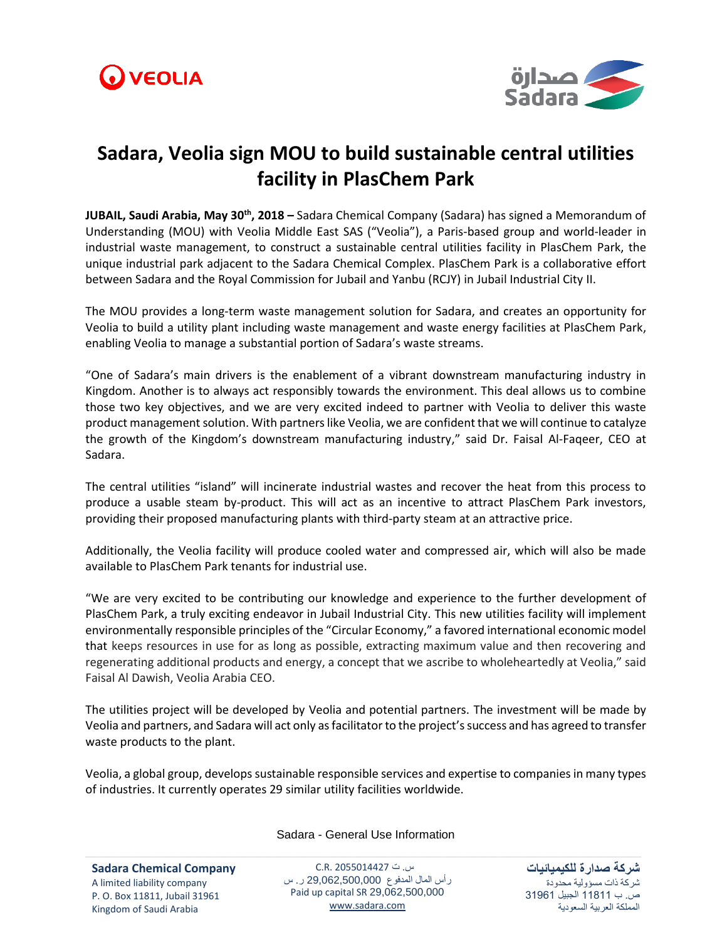



## **Sadara, Veolia sign MOU to build sustainable central utilities facility in PlasChem Park**

**JUBAIL, Saudi Arabia, May 30th , 2018 –** Sadara Chemical Company (Sadara) has signed a Memorandum of Understanding (MOU) with Veolia Middle East SAS ("Veolia"), a Paris-based group and world-leader in industrial waste management, to construct a sustainable central utilities facility in PlasChem Park, the unique industrial park adjacent to the Sadara Chemical Complex. PlasChem Park is a collaborative effort between Sadara and the Royal Commission for Jubail and Yanbu (RCJY) in Jubail Industrial City II.

The MOU provides a long-term waste management solution for Sadara, and creates an opportunity for Veolia to build a utility plant including waste management and waste energy facilities at PlasChem Park, enabling Veolia to manage a substantial portion of Sadara's waste streams.

"One of Sadara's main drivers is the enablement of a vibrant downstream manufacturing industry in Kingdom. Another is to always act responsibly towards the environment. This deal allows us to combine those two key objectives, and we are very excited indeed to partner with Veolia to deliver this waste product management solution. With partners like Veolia, we are confident that we will continue to catalyze the growth of the Kingdom's downstream manufacturing industry," said Dr. Faisal Al-Faqeer, CEO at Sadara.

The central utilities "island" will incinerate industrial wastes and recover the heat from this process to produce a usable steam by-product. This will act as an incentive to attract PlasChem Park investors, providing their proposed manufacturing plants with third-party steam at an attractive price.

Additionally, the Veolia facility will produce cooled water and compressed air, which will also be made available to PlasChem Park tenants for industrial use.

"We are very excited to be contributing our knowledge and experience to the further development of PlasChem Park, a truly exciting endeavor in Jubail Industrial City. This new utilities facility will implement environmentally responsible principles of the "Circular Economy," a favored international economic model that keeps resources in use for as long as possible, extracting maximum value and then recovering and regenerating additional products and energy, a concept that we ascribe to wholeheartedly at Veolia," said Faisal Al Dawish, Veolia Arabia CEO.

The utilities project will be developed by Veolia and potential partners. The investment will be made by Veolia and partners, and Sadara will act only as facilitator to the project'ssuccess and has agreed to transfer waste products to the plant.

Veolia, a global group, develops sustainable responsible services and expertise to companies in many types of industries. It currently operates 29 similar utility facilities worldwide.

**Sadara Chemical Company** A limited liability company P. O. Box 11811, Jubail 31961 Kingdom of Saudi Arabia

Sadara - General Use Information

س. ت 2055014427 .R.C رأس المال المدفوع 29,062,500,000 ر. س Paid up capital SR 29,062,500,000 [www.sadara.com](http://www.sadara.com/)

**شركة صدارة للكيميائيات** شركة ذات مسؤولية محدودة ص. ب 11811 الجبيل 31961 المملكة العربية السعودية